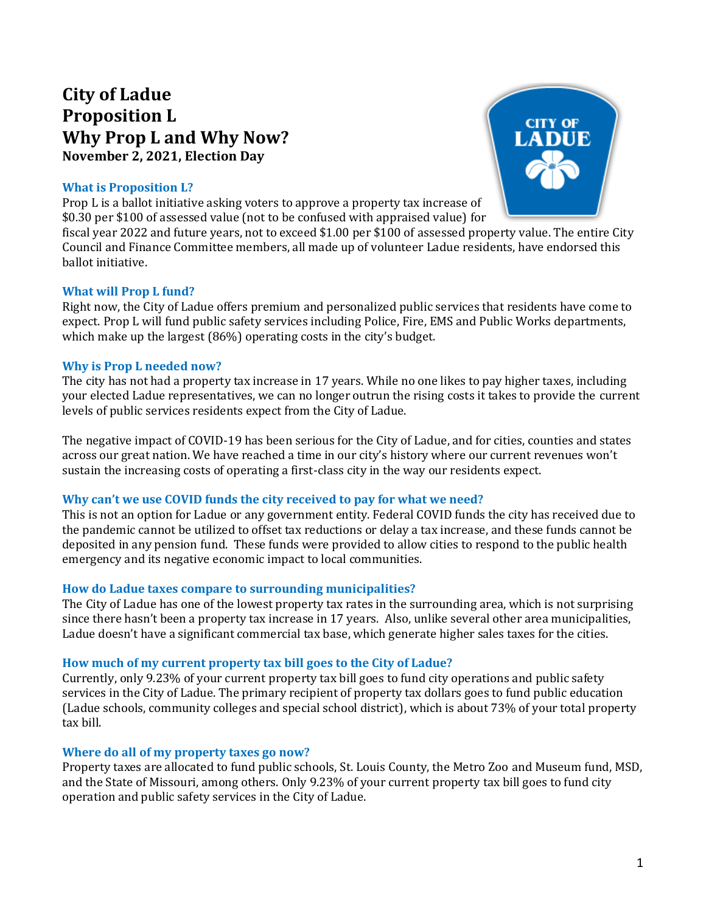# **City of Ladue Proposition L Why Prop L and Why Now? November 2, 2021, Election Day**

# **What is Proposition L?**

Prop L is a ballot initiative asking voters to approve a property tax increase of \$0.30 per \$100 of assessed value (not to be confused with appraised value) for

fiscal year 2022 and future years, not to exceed \$1.00 per \$100 of assessed property value. The entire City Council and Finance Committee members, all made up of volunteer Ladue residents, have endorsed this ballot initiative.

## **What will Prop L fund?**

Right now, the City of Ladue offers premium and personalized public services that residents have come to expect. Prop L will fund public safety services including Police, Fire, EMS and Public Works departments, which make up the largest (86%) operating costs in the city's budget.

## **Why is Prop L needed now?**

The city has not had a property tax increase in 17 years. While no one likes to pay higher taxes, including your elected Ladue representatives, we can no longer outrun the rising costs it takes to provide the current levels of public services residents expect from the City of Ladue.

The negative impact of COVID-19 has been serious for the City of Ladue, and for cities, counties and states across our great nation. We have reached a time in our city's history where our current revenues won't sustain the increasing costs of operating a first-class city in the way our residents expect.

## **Why can't we use COVID funds the city received to pay for what we need?**

This is not an option for Ladue or any government entity. Federal COVID funds the city has received due to the pandemic cannot be utilized to offset tax reductions or delay a tax increase, and these funds cannot be deposited in any pension fund. These funds were provided to allow cities to respond to the public health emergency and its negative economic impact to local communities.

# **How do Ladue taxes compare to surrounding municipalities?**

The City of Ladue has one of the lowest property tax rates in the surrounding area, which is not surprising since there hasn't been a property tax increase in 17 years. Also, unlike several other area municipalities, Ladue doesn't have a significant commercial tax base, which generate higher sales taxes for the cities.

## **How much of my current property tax bill goes to the City of Ladue?**

Currently, only 9.23% of your current property tax bill goes to fund city operations and public safety services in the City of Ladue. The primary recipient of property tax dollars goes to fund public education (Ladue schools, community colleges and special school district), which is about 73% of your total property tax bill.

## **Where do all of my property taxes go now?**

Property taxes are allocated to fund public schools, St. Louis County, the Metro Zoo and Museum fund, MSD, and the State of Missouri, among others. Only 9.23% of your current property tax bill goes to fund city operation and public safety services in the City of Ladue.